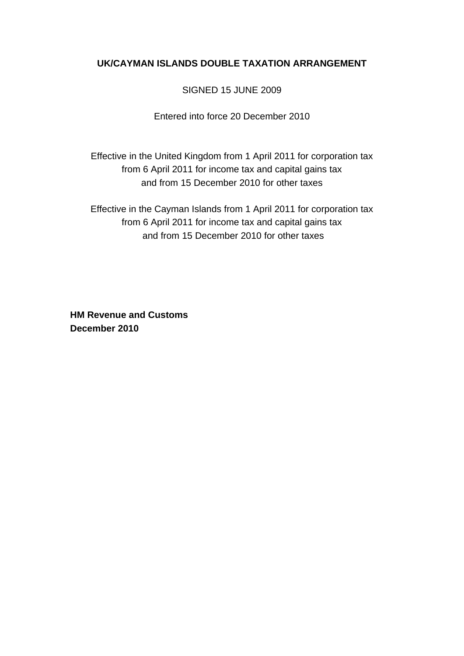# **UK/CAYMAN ISLANDS DOUBLE TAXATION ARRANGEMENT**

# SIGNED 15 JUNE 2009

Entered into force 20 December 2010

Effective in the United Kingdom from 1 April 2011 for corporation tax from 6 April 2011 for income tax and capital gains tax and from 15 December 2010 for other taxes

Effective in the Cayman Islands from 1 April 2011 for corporation tax from 6 April 2011 for income tax and capital gains tax and from 15 December 2010 for other taxes

**HM Revenue and Customs December 2010**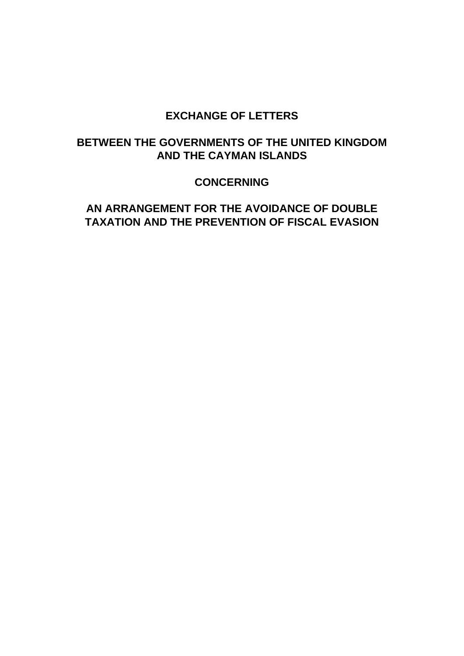# **EXCHANGE OF LETTERS**

# **BETWEEN THE GOVERNMENTS OF THE UNITED KINGDOM AND THE CAYMAN ISLANDS**

# **CONCERNING**

# **AN ARRANGEMENT FOR THE AVOIDANCE OF DOUBLE TAXATION AND THE PREVENTION OF FISCAL EVASION**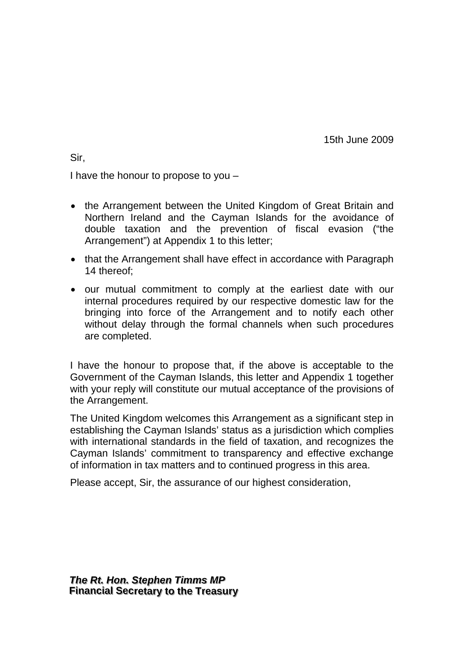15th June 2009

Sir,

I have the honour to propose to you –

- the Arrangement between the United Kingdom of Great Britain and Northern Ireland and the Cayman Islands for the avoidance of double taxation and the prevention of fiscal evasion ("the Arrangement") at Appendix 1 to this letter;
- that the Arrangement shall have effect in accordance with Paragraph 14 thereof;
- our mutual commitment to comply at the earliest date with our internal procedures required by our respective domestic law for the bringing into force of the Arrangement and to notify each other without delay through the formal channels when such procedures are completed.

I have the honour to propose that, if the above is acceptable to the Government of the Cayman Islands, this letter and Appendix 1 together with your reply will constitute our mutual acceptance of the provisions of the Arrangement.

The United Kingdom welcomes this Arrangement as a significant step in establishing the Cayman Islands' status as a jurisdiction which complies with international standards in the field of taxation, and recognizes the Cayman Islands' commitment to transparency and effective exchange of information in tax matters and to continued progress in this area.

Please accept, Sir, the assurance of our highest consideration,

*The Rt. Hon. Stephen Timms MP* **Financial Secretary to the Treasury**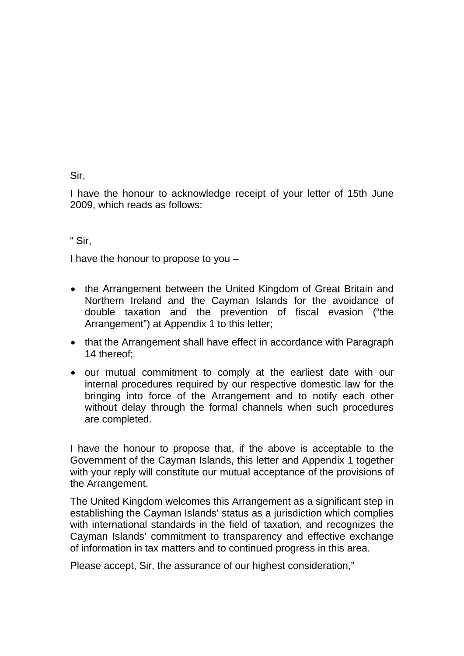Sir,

I have the honour to acknowledge receipt of your letter of 15th June 2009, which reads as follows:

" Sir,

I have the honour to propose to you –

- the Arrangement between the United Kingdom of Great Britain and Northern Ireland and the Cayman Islands for the avoidance of double taxation and the prevention of fiscal evasion ("the Arrangement") at Appendix 1 to this letter;
- that the Arrangement shall have effect in accordance with Paragraph 14 thereof;
- our mutual commitment to comply at the earliest date with our internal procedures required by our respective domestic law for the bringing into force of the Arrangement and to notify each other without delay through the formal channels when such procedures are completed.

I have the honour to propose that, if the above is acceptable to the Government of the Cayman Islands, this letter and Appendix 1 together with your reply will constitute our mutual acceptance of the provisions of the Arrangement.

The United Kingdom welcomes this Arrangement as a significant step in establishing the Cayman Islands' status as a jurisdiction which complies with international standards in the field of taxation, and recognizes the Cayman Islands' commitment to transparency and effective exchange of information in tax matters and to continued progress in this area.

Please accept, Sir, the assurance of our highest consideration,"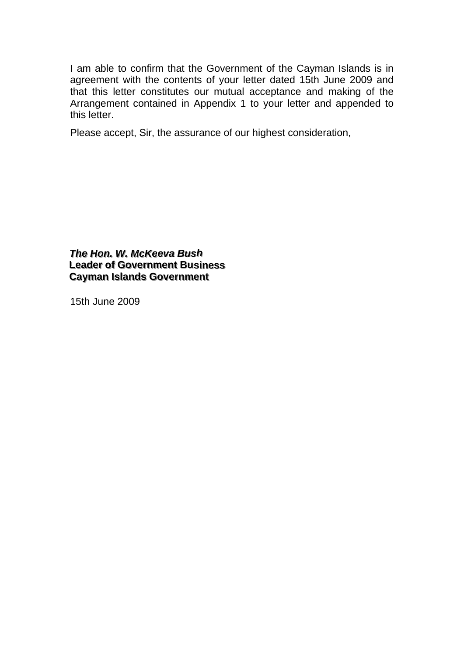I am able to confirm that the Government of the Cayman Islands is in agreement with the contents of your letter dated 15th June 2009 and that this letter constitutes our mutual acceptance and making of the Arrangement contained in Appendix 1 to your letter and appended to this letter.

Please accept, Sir, the assurance of our highest consideration,

*The Hon. W. McKeeva Bush* **Leader of Government Business Cayman Islands Government** 

15th June 2009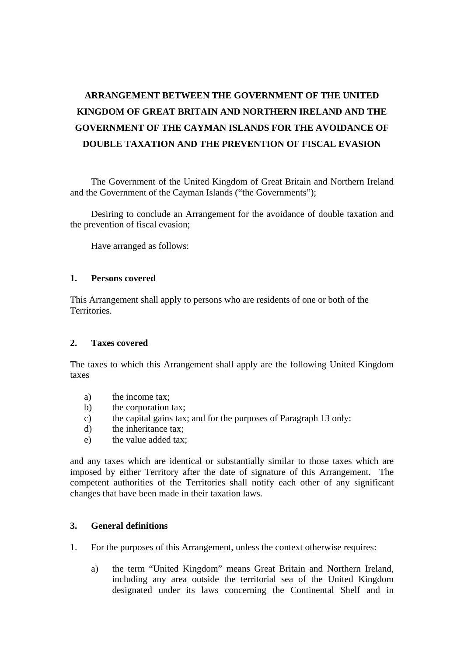# **ARRANGEMENT BETWEEN THE GOVERNMENT OF THE UNITED KINGDOM OF GREAT BRITAIN AND NORTHERN IRELAND AND THE GOVERNMENT OF THE CAYMAN ISLANDS FOR THE AVOIDANCE OF DOUBLE TAXATION AND THE PREVENTION OF FISCAL EVASION**

 The Government of the United Kingdom of Great Britain and Northern Ireland and the Government of the Cayman Islands ("the Governments");

 Desiring to conclude an Arrangement for the avoidance of double taxation and the prevention of fiscal evasion;

Have arranged as follows:

#### **1. Persons covered**

This Arrangement shall apply to persons who are residents of one or both of the Territories.

#### **2. Taxes covered**

The taxes to which this Arrangement shall apply are the following United Kingdom taxes

- a) the income tax;
- b) the corporation tax;
- c) the capital gains tax; and for the purposes of Paragraph 13 only:
- d) the inheritance tax;
- e) the value added tax;

and any taxes which are identical or substantially similar to those taxes which are imposed by either Territory after the date of signature of this Arrangement. The competent authorities of the Territories shall notify each other of any significant changes that have been made in their taxation laws.

#### **3. General definitions**

- 1. For the purposes of this Arrangement, unless the context otherwise requires:
	- a) the term "United Kingdom" means Great Britain and Northern Ireland, including any area outside the territorial sea of the United Kingdom designated under its laws concerning the Continental Shelf and in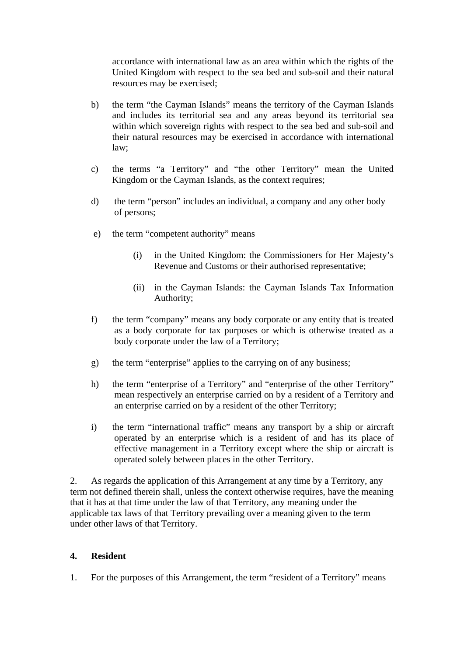accordance with international law as an area within which the rights of the United Kingdom with respect to the sea bed and sub-soil and their natural resources may be exercised;

- b) the term "the Cayman Islands" means the territory of the Cayman Islands and includes its territorial sea and any areas beyond its territorial sea within which sovereign rights with respect to the sea bed and sub-soil and their natural resources may be exercised in accordance with international law;
- c) the terms "a Territory" and "the other Territory" mean the United Kingdom or the Cayman Islands, as the context requires;
- d) the term "person" includes an individual, a company and any other body of persons;
- e) the term "competent authority" means
	- (i) in the United Kingdom: the Commissioners for Her Majesty's Revenue and Customs or their authorised representative;
	- (ii) in the Cayman Islands: the Cayman Islands Tax Information Authority;
- f) the term "company" means any body corporate or any entity that is treated as a body corporate for tax purposes or which is otherwise treated as a body corporate under the law of a Territory;
- g) the term "enterprise" applies to the carrying on of any business;
- h) the term "enterprise of a Territory" and "enterprise of the other Territory" mean respectively an enterprise carried on by a resident of a Territory and an enterprise carried on by a resident of the other Territory;
- i) the term "international traffic" means any transport by a ship or aircraft operated by an enterprise which is a resident of and has its place of effective management in a Territory except where the ship or aircraft is operated solely between places in the other Territory.

2. As regards the application of this Arrangement at any time by a Territory, any term not defined therein shall, unless the context otherwise requires, have the meaning that it has at that time under the law of that Territory, any meaning under the applicable tax laws of that Territory prevailing over a meaning given to the term under other laws of that Territory.

## **4. Resident**

1. For the purposes of this Arrangement, the term "resident of a Territory" means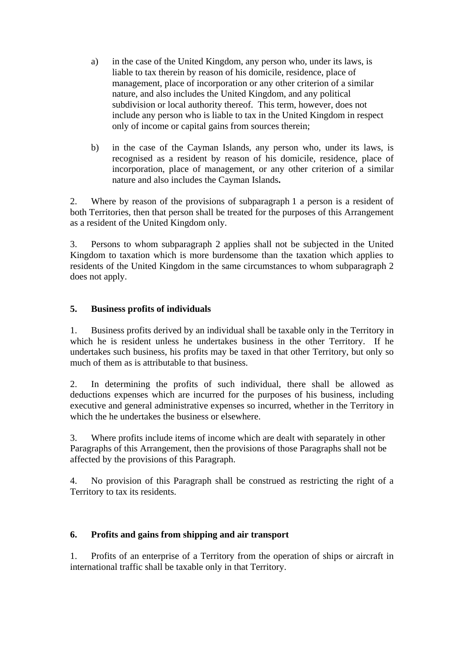- a) in the case of the United Kingdom, any person who, under its laws, is liable to tax therein by reason of his domicile, residence, place of management, place of incorporation or any other criterion of a similar nature, and also includes the United Kingdom, and any political subdivision or local authority thereof. This term, however, does not include any person who is liable to tax in the United Kingdom in respect only of income or capital gains from sources therein;
- b) in the case of the Cayman Islands, any person who, under its laws, is recognised as a resident by reason of his domicile, residence, place of incorporation, place of management, or any other criterion of a similar nature and also includes the Cayman Islands**.**

2. Where by reason of the provisions of subparagraph 1 a person is a resident of both Territories, then that person shall be treated for the purposes of this Arrangement as a resident of the United Kingdom only.

3. Persons to whom subparagraph 2 applies shall not be subjected in the United Kingdom to taxation which is more burdensome than the taxation which applies to residents of the United Kingdom in the same circumstances to whom subparagraph 2 does not apply.

## **5. Business profits of individuals**

1. Business profits derived by an individual shall be taxable only in the Territory in which he is resident unless he undertakes business in the other Territory. If he undertakes such business, his profits may be taxed in that other Territory, but only so much of them as is attributable to that business.

2. In determining the profits of such individual, there shall be allowed as deductions expenses which are incurred for the purposes of his business, including executive and general administrative expenses so incurred, whether in the Territory in which the he undertakes the business or elsewhere.

3. Where profits include items of income which are dealt with separately in other Paragraphs of this Arrangement, then the provisions of those Paragraphs shall not be affected by the provisions of this Paragraph.

4. No provision of this Paragraph shall be construed as restricting the right of a Territory to tax its residents.

## **6. Profits and gains from shipping and air transport**

1. Profits of an enterprise of a Territory from the operation of ships or aircraft in international traffic shall be taxable only in that Territory.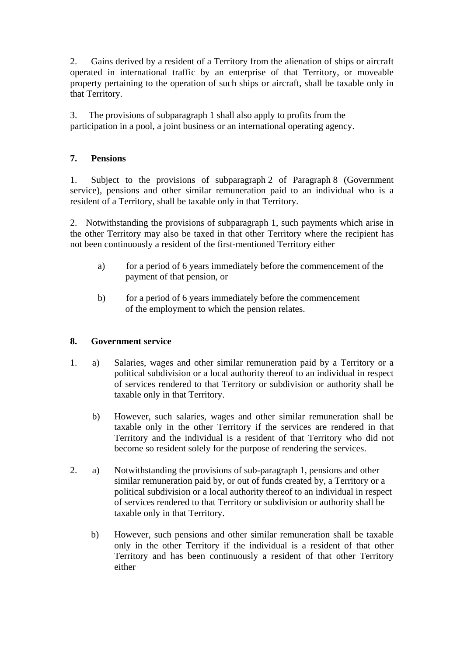2. Gains derived by a resident of a Territory from the alienation of ships or aircraft operated in international traffic by an enterprise of that Territory, or moveable property pertaining to the operation of such ships or aircraft, shall be taxable only in that Territory.

3. The provisions of subparagraph 1 shall also apply to profits from the participation in a pool, a joint business or an international operating agency.

## **7. Pensions**

1. Subject to the provisions of subparagraph 2 of Paragraph 8 (Government service), pensions and other similar remuneration paid to an individual who is a resident of a Territory, shall be taxable only in that Territory.

2. Notwithstanding the provisions of subparagraph 1, such payments which arise in the other Territory may also be taxed in that other Territory where the recipient has not been continuously a resident of the first-mentioned Territory either

- a) for a period of 6 years immediately before the commencement of the payment of that pension, or
- b) for a period of 6 years immediately before the commencement of the employment to which the pension relates.

#### **8. Government service**

- 1. a) Salaries, wages and other similar remuneration paid by a Territory or a political subdivision or a local authority thereof to an individual in respect of services rendered to that Territory or subdivision or authority shall be taxable only in that Territory.
	- b) However, such salaries, wages and other similar remuneration shall be taxable only in the other Territory if the services are rendered in that Territory and the individual is a resident of that Territory who did not become so resident solely for the purpose of rendering the services.
- 2. a) Notwithstanding the provisions of sub-paragraph 1, pensions and other similar remuneration paid by, or out of funds created by, a Territory or a political subdivision or a local authority thereof to an individual in respect of services rendered to that Territory or subdivision or authority shall be taxable only in that Territory.
	- b) However, such pensions and other similar remuneration shall be taxable only in the other Territory if the individual is a resident of that other Territory and has been continuously a resident of that other Territory either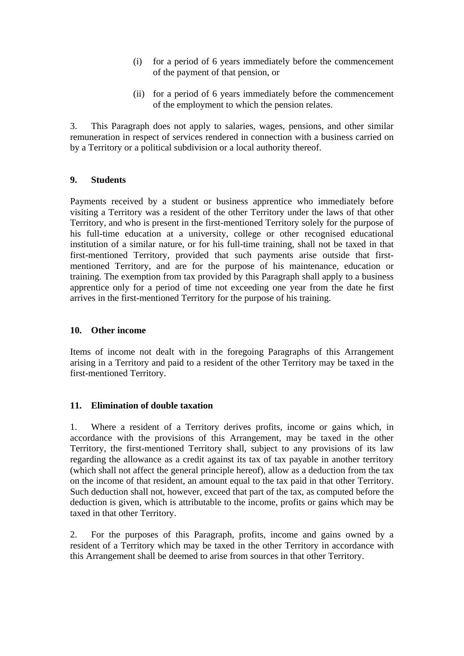- (i) for a period of 6 years immediately before the commencement of the payment of that pension, or
- (ii) for a period of 6 years immediately before the commencement of the employment to which the pension relates.

3. This Paragraph does not apply to salaries, wages, pensions, and other similar remuneration in respect of services rendered in connection with a business carried on by a Territory or a political subdivision or a local authority thereof.

#### **9. Students**

Payments received by a student or business apprentice who immediately before visiting a Territory was a resident of the other Territory under the laws of that other Territory, and who is present in the first-mentioned Territory solely for the purpose of his full-time education at a university, college or other recognised educational institution of a similar nature, or for his full-time training, shall not be taxed in that first-mentioned Territory, provided that such payments arise outside that firstmentioned Territory, and are for the purpose of his maintenance, education or training. The exemption from tax provided by this Paragraph shall apply to a business apprentice only for a period of time not exceeding one year from the date he first arrives in the first-mentioned Territory for the purpose of his training.

#### **10. Other income**

Items of income not dealt with in the foregoing Paragraphs of this Arrangement arising in a Territory and paid to a resident of the other Territory may be taxed in the first-mentioned Territory.

## **11. Elimination of double taxation**

1. Where a resident of a Territory derives profits, income or gains which, in accordance with the provisions of this Arrangement, may be taxed in the other Territory, the first-mentioned Territory shall, subject to any provisions of its law regarding the allowance as a credit against its tax of tax payable in another territory (which shall not affect the general principle hereof), allow as a deduction from the tax on the income of that resident, an amount equal to the tax paid in that other Territory. Such deduction shall not, however, exceed that part of the tax, as computed before the deduction is given, which is attributable to the income, profits or gains which may be taxed in that other Territory.

2. For the purposes of this Paragraph, profits, income and gains owned by a resident of a Territory which may be taxed in the other Territory in accordance with this Arrangement shall be deemed to arise from sources in that other Territory.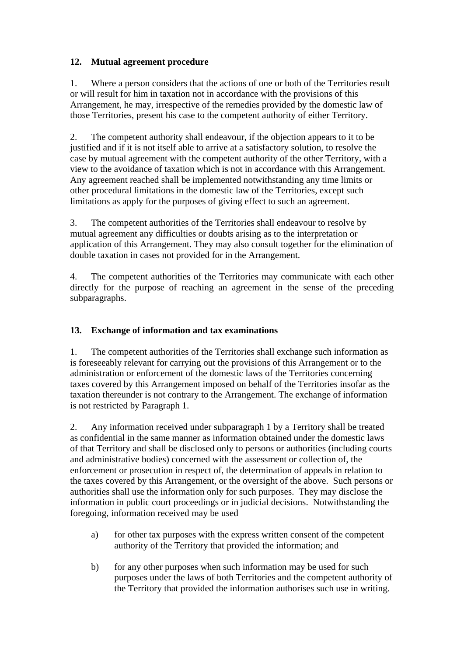## **12. Mutual agreement procedure**

1. Where a person considers that the actions of one or both of the Territories result or will result for him in taxation not in accordance with the provisions of this Arrangement, he may, irrespective of the remedies provided by the domestic law of those Territories, present his case to the competent authority of either Territory.

2. The competent authority shall endeavour, if the objection appears to it to be justified and if it is not itself able to arrive at a satisfactory solution, to resolve the case by mutual agreement with the competent authority of the other Territory, with a view to the avoidance of taxation which is not in accordance with this Arrangement. Any agreement reached shall be implemented notwithstanding any time limits or other procedural limitations in the domestic law of the Territories, except such limitations as apply for the purposes of giving effect to such an agreement.

3. The competent authorities of the Territories shall endeavour to resolve by mutual agreement any difficulties or doubts arising as to the interpretation or application of this Arrangement. They may also consult together for the elimination of double taxation in cases not provided for in the Arrangement.

4. The competent authorities of the Territories may communicate with each other directly for the purpose of reaching an agreement in the sense of the preceding subparagraphs.

## **13. Exchange of information and tax examinations**

1. The competent authorities of the Territories shall exchange such information as is foreseeably relevant for carrying out the provisions of this Arrangement or to the administration or enforcement of the domestic laws of the Territories concerning taxes covered by this Arrangement imposed on behalf of the Territories insofar as the taxation thereunder is not contrary to the Arrangement. The exchange of information is not restricted by Paragraph 1.

2. Any information received under subparagraph 1 by a Territory shall be treated as confidential in the same manner as information obtained under the domestic laws of that Territory and shall be disclosed only to persons or authorities (including courts and administrative bodies) concerned with the assessment or collection of, the enforcement or prosecution in respect of, the determination of appeals in relation to the taxes covered by this Arrangement, or the oversight of the above. Such persons or authorities shall use the information only for such purposes. They may disclose the information in public court proceedings or in judicial decisions. Notwithstanding the foregoing, information received may be used

- a) for other tax purposes with the express written consent of the competent authority of the Territory that provided the information; and
- b) for any other purposes when such information may be used for such purposes under the laws of both Territories and the competent authority of the Territory that provided the information authorises such use in writing.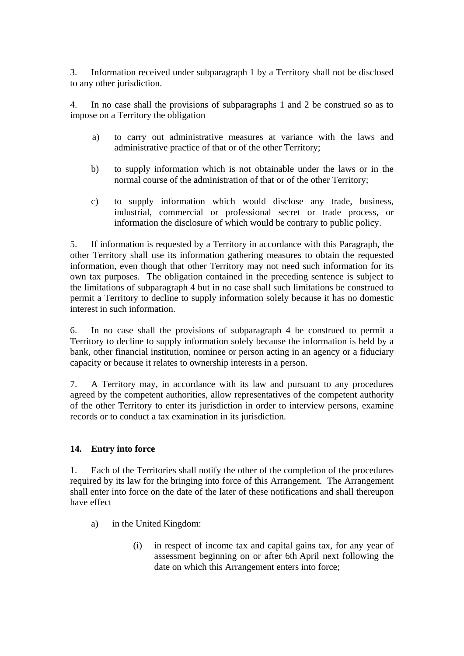3. Information received under subparagraph 1 by a Territory shall not be disclosed to any other jurisdiction.

4. In no case shall the provisions of subparagraphs 1 and 2 be construed so as to impose on a Territory the obligation

- a) to carry out administrative measures at variance with the laws and administrative practice of that or of the other Territory;
- b) to supply information which is not obtainable under the laws or in the normal course of the administration of that or of the other Territory;
- c) to supply information which would disclose any trade, business, industrial, commercial or professional secret or trade process, or information the disclosure of which would be contrary to public policy.

5. If information is requested by a Territory in accordance with this Paragraph, the other Territory shall use its information gathering measures to obtain the requested information, even though that other Territory may not need such information for its own tax purposes. The obligation contained in the preceding sentence is subject to the limitations of subparagraph 4 but in no case shall such limitations be construed to permit a Territory to decline to supply information solely because it has no domestic interest in such information.

6. In no case shall the provisions of subparagraph 4 be construed to permit a Territory to decline to supply information solely because the information is held by a bank, other financial institution, nominee or person acting in an agency or a fiduciary capacity or because it relates to ownership interests in a person.

7. A Territory may, in accordance with its law and pursuant to any procedures agreed by the competent authorities, allow representatives of the competent authority of the other Territory to enter its jurisdiction in order to interview persons, examine records or to conduct a tax examination in its jurisdiction.

#### **14. Entry into force**

1. Each of the Territories shall notify the other of the completion of the procedures required by its law for the bringing into force of this Arrangement. The Arrangement shall enter into force on the date of the later of these notifications and shall thereupon have effect

- a) in the United Kingdom:
	- (i) in respect of income tax and capital gains tax, for any year of assessment beginning on or after 6th April next following the date on which this Arrangement enters into force;